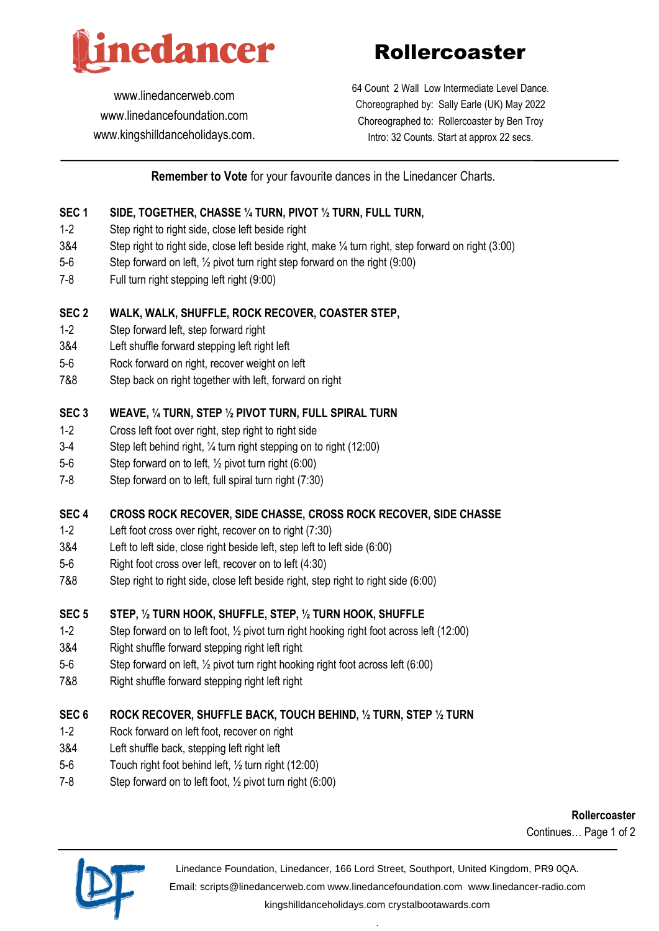

Rollercoaster

[www.linedancerweb.com](http://www.linedancerweb.com/) [www.linedancefoundation.com](http://www.linedancerweb.com/)  [www.kingshilldanceholidays.com](http://www.kingshilldanceholidays.com/). 64 Count 2 Wall Low Intermediate Level Dance. Choreographed by: Sally Earle (UK) May 2022 Choreographed to: Rollercoaster by Ben Troy Intro: 32 Counts. Start at approx 22 secs.

# **Remember to Vote** for your favourite dances in the Linedancer Charts.

#### **SEC 1 SIDE, TOGETHER, CHASSE ¼ TURN, PIVOT ½ TURN, FULL TURN,**

- 1-2 Step right to right side, close left beside right
- 3&4 Step right to right side, close left beside right, make ¼ turn right, step forward on right (3:00)
- 5-6 Step forward on left, ½ pivot turn right step forward on the right (9:00)
- 7-8 Full turn right stepping left right (9:00)

#### **SEC 2 WALK, WALK, SHUFFLE, ROCK RECOVER, COASTER STEP,**

- 1-2 Step forward left, step forward right
- 3&4 Left shuffle forward stepping left right left
- 5-6 Rock forward on right, recover weight on left
- 7&8 Step back on right together with left, forward on right

#### **SEC 3 WEAVE, ¼ TURN, STEP ½ PIVOT TURN, FULL SPIRAL TURN**

- 1-2 Cross left foot over right, step right to right side
- 3-4 Step left behind right, ¼ turn right stepping on to right (12:00)
- 5-6 Step forward on to left, ½ pivot turn right (6:00)
- 7-8 Step forward on to left, full spiral turn right (7:30)

## **SEC 4 CROSS ROCK RECOVER, SIDE CHASSE, CROSS ROCK RECOVER, SIDE CHASSE**

- 1-2 Left foot cross over right, recover on to right (7:30)
- 3&4 Left to left side, close right beside left, step left to left side (6:00)
- 5-6 Right foot cross over left, recover on to left (4:30)
- 7&8 Step right to right side, close left beside right, step right to right side (6:00)

## **SEC 5 STEP, ½ TURN HOOK, SHUFFLE, STEP, ½ TURN HOOK, SHUFFLE**

- 1-2 Step forward on to left foot, ½ pivot turn right hooking right foot across left (12:00)
- 3&4 Right shuffle forward stepping right left right
- 5-6 Step forward on left, ½ pivot turn right hooking right foot across left (6:00)
- 7&8 Right shuffle forward stepping right left right

## **SEC 6 ROCK RECOVER, SHUFFLE BACK, TOUCH BEHIND, ½ TURN, STEP ½ TURN**

- 1-2 Rock forward on left foot, recover on right
- 3&4 Left shuffle back, stepping left right left
- 5-6 Touch right foot behind left, ½ turn right (12:00)
- 7-8 Step forward on to left foot, ½ pivot turn right (6:00)

**Rollercoaster** Continues… Page 1 of 2



Linedance Foundation, Linedancer, 166 Lord Street, Southport, United Kingdom, PR9 0QA. Email: [scripts@linedancerweb.com](mailto:scripts@linedancerweb.com) [www.linedancefoundation.com](http://www.linedancefoundation.com/) [www.linedancer-radio.com](http://www.linedancer-radio.com/) [kingshilldanceholidays.com](http://kingshilldanceholidays.com/) [crystalbootawards.com](http://crystalbootawards.com/)

.